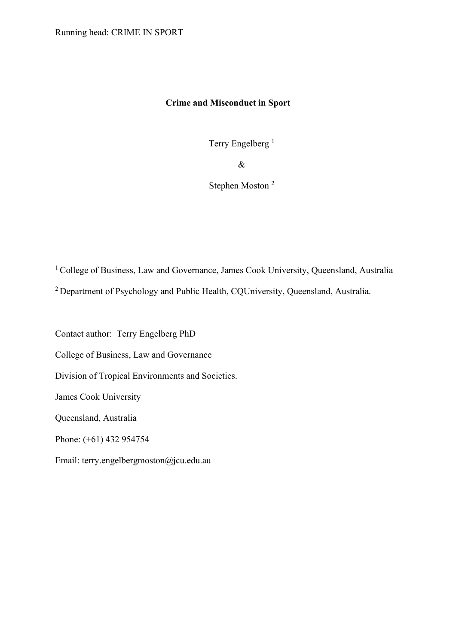# **Crime and Misconduct in Sport**

Terry Engelberg<sup>1</sup>

&

Stephen Moston 2

<sup>1</sup> College of Business, Law and Governance, James Cook University, Queensland, Australia

<sup>2</sup> Department of Psychology and Public Health, CQUniversity, Queensland, Australia.

Contact author: Terry Engelberg PhD

College of Business, Law and Governance

Division of Tropical Environments and Societies.

James Cook University

Queensland, Australia

Phone: (+61) 432 954754

Email: terry.engelbergmoston@jcu.edu.au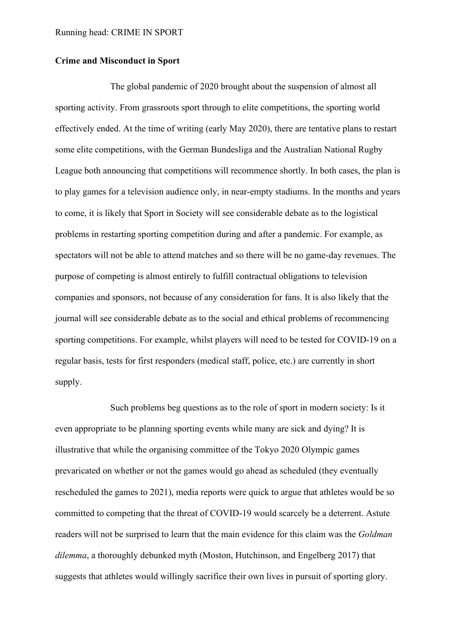### **Crime and Misconduct in Sport**

The global pandemic of 2020 brought about the suspension of almost all sporting activity. From grassroots sport through to elite competitions, the sporting world effectively ended. At the time of writing (early May 2020), there are tentative plans to restart some elite competitions, with the German Bundesliga and the Australian National Rugby League both announcing that competitions will recommence shortly. In both cases, the plan is to play games for a television audience only, in near-empty stadiums. In the months and years to come, it is likely that Sport in Society will see considerable debate as to the logistical problems in restarting sporting competition during and after a pandemic. For example, as spectators will not be able to attend matches and so there will be no game-day revenues. The purpose of competing is almost entirely to fulfill contractual obligations to television companies and sponsors, not because of any consideration for fans. It is also likely that the journal will see considerable debate as to the social and ethical problems of recommencing sporting competitions. For example, whilst players will need to be tested for COVID-19 on a regular basis, tests for first responders (medical staff, police, etc.) are currently in short supply.

Such problems beg questions as to the role of sport in modern society: Is it even appropriate to be planning sporting events while many are sick and dying? It is illustrative that while the organising committee of the Tokyo 2020 Olympic games prevaricated on whether or not the games would go ahead as scheduled (they eventually rescheduled the games to 2021), media reports were quick to argue that athletes would be so committed to competing that the threat of COVID-19 would scarcely be a deterrent. Astute readers will not be surprised to learn that the main evidence for this claim was the *Goldman dilemma*, a thoroughly debunked myth (Moston, Hutchinson, and Engelberg 2017) that suggests that athletes would willingly sacrifice their own lives in pursuit of sporting glory.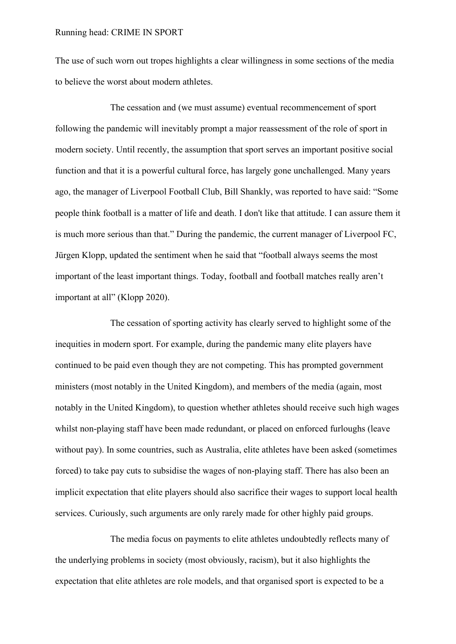The use of such worn out tropes highlights a clear willingness in some sections of the media to believe the worst about modern athletes.

The cessation and (we must assume) eventual recommencement of sport following the pandemic will inevitably prompt a major reassessment of the role of sport in modern society. Until recently, the assumption that sport serves an important positive social function and that it is a powerful cultural force, has largely gone unchallenged. Many years ago, the manager of Liverpool Football Club, Bill Shankly, was reported to have said: "Some people think football is a matter of life and death. I don't like that attitude. I can assure them it is much more serious than that." During the pandemic, the current manager of Liverpool FC, Jürgen Klopp, updated the sentiment when he said that "football always seems the most important of the least important things. Today, football and football matches really aren't important at all" (Klopp 2020).

The cessation of sporting activity has clearly served to highlight some of the inequities in modern sport. For example, during the pandemic many elite players have continued to be paid even though they are not competing. This has prompted government ministers (most notably in the United Kingdom), and members of the media (again, most notably in the United Kingdom), to question whether athletes should receive such high wages whilst non-playing staff have been made redundant, or placed on enforced furloughs (leave without pay). In some countries, such as Australia, elite athletes have been asked (sometimes forced) to take pay cuts to subsidise the wages of non-playing staff. There has also been an implicit expectation that elite players should also sacrifice their wages to support local health services. Curiously, such arguments are only rarely made for other highly paid groups.

The media focus on payments to elite athletes undoubtedly reflects many of the underlying problems in society (most obviously, racism), but it also highlights the expectation that elite athletes are role models, and that organised sport is expected to be a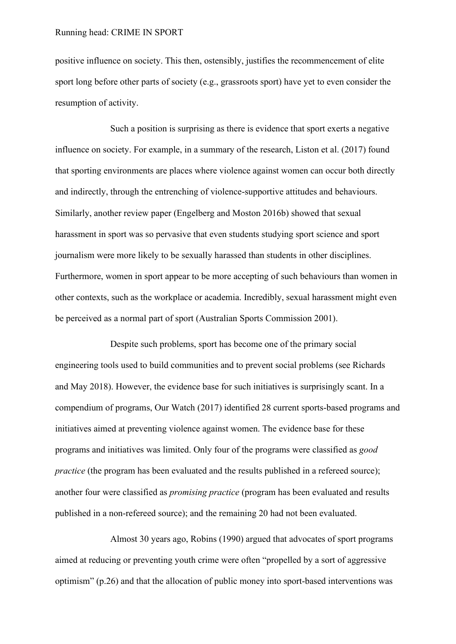positive influence on society. This then, ostensibly, justifies the recommencement of elite sport long before other parts of society (e.g., grassroots sport) have yet to even consider the resumption of activity.

Such a position is surprising as there is evidence that sport exerts a negative influence on society. For example, in a summary of the research, Liston et al. (2017) found that sporting environments are places where violence against women can occur both directly and indirectly, through the entrenching of violence-supportive attitudes and behaviours. Similarly, another review paper (Engelberg and Moston 2016b) showed that sexual harassment in sport was so pervasive that even students studying sport science and sport journalism were more likely to be sexually harassed than students in other disciplines. Furthermore, women in sport appear to be more accepting of such behaviours than women in other contexts, such as the workplace or academia. Incredibly, sexual harassment might even be perceived as a normal part of sport (Australian Sports Commission 2001).

Despite such problems, sport has become one of the primary social engineering tools used to build communities and to prevent social problems (see Richards and May 2018). However, the evidence base for such initiatives is surprisingly scant. In a compendium of programs, Our Watch (2017) identified 28 current sports-based programs and initiatives aimed at preventing violence against women. The evidence base for these programs and initiatives was limited. Only four of the programs were classified as *good practice* (the program has been evaluated and the results published in a refereed source); another four were classified as *promising practice* (program has been evaluated and results published in a non-refereed source); and the remaining 20 had not been evaluated.

Almost 30 years ago, Robins (1990) argued that advocates of sport programs aimed at reducing or preventing youth crime were often "propelled by a sort of aggressive optimism" (p.26) and that the allocation of public money into sport-based interventions was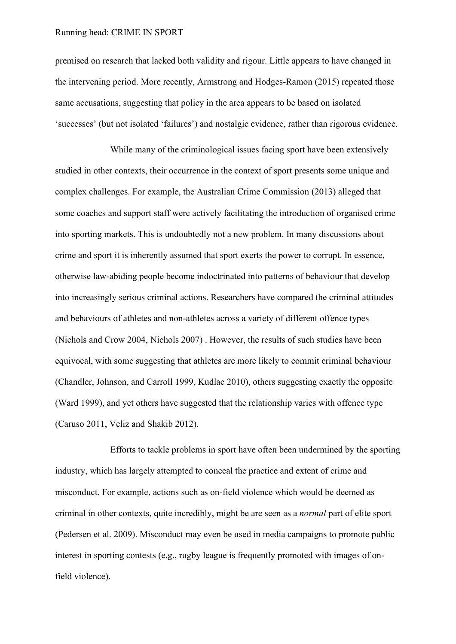premised on research that lacked both validity and rigour. Little appears to have changed in the intervening period. More recently, Armstrong and Hodges-Ramon (2015) repeated those same accusations, suggesting that policy in the area appears to be based on isolated 'successes' (but not isolated 'failures') and nostalgic evidence, rather than rigorous evidence.

While many of the criminological issues facing sport have been extensively studied in other contexts, their occurrence in the context of sport presents some unique and complex challenges. For example, the Australian Crime Commission (2013) alleged that some coaches and support staff were actively facilitating the introduction of organised crime into sporting markets. This is undoubtedly not a new problem. In many discussions about crime and sport it is inherently assumed that sport exerts the power to corrupt. In essence, otherwise law-abiding people become indoctrinated into patterns of behaviour that develop into increasingly serious criminal actions. Researchers have compared the criminal attitudes and behaviours of athletes and non-athletes across a variety of different offence types (Nichols and Crow 2004, Nichols 2007) . However, the results of such studies have been equivocal, with some suggesting that athletes are more likely to commit criminal behaviour (Chandler, Johnson, and Carroll 1999, Kudlac 2010), others suggesting exactly the opposite (Ward 1999), and yet others have suggested that the relationship varies with offence type (Caruso 2011, Veliz and Shakib 2012).

Efforts to tackle problems in sport have often been undermined by the sporting industry, which has largely attempted to conceal the practice and extent of crime and misconduct. For example, actions such as on-field violence which would be deemed as criminal in other contexts, quite incredibly, might be are seen as a *normal* part of elite sport (Pedersen et al. 2009). Misconduct may even be used in media campaigns to promote public interest in sporting contests (e.g., rugby league is frequently promoted with images of onfield violence).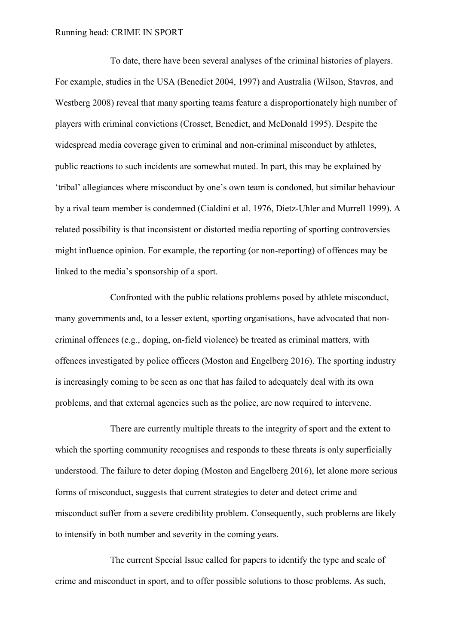To date, there have been several analyses of the criminal histories of players. For example, studies in the USA (Benedict 2004, 1997) and Australia (Wilson, Stavros, and Westberg 2008) reveal that many sporting teams feature a disproportionately high number of players with criminal convictions (Crosset, Benedict, and McDonald 1995). Despite the widespread media coverage given to criminal and non-criminal misconduct by athletes, public reactions to such incidents are somewhat muted. In part, this may be explained by 'tribal' allegiances where misconduct by one's own team is condoned, but similar behaviour by a rival team member is condemned (Cialdini et al. 1976, Dietz-Uhler and Murrell 1999). A related possibility is that inconsistent or distorted media reporting of sporting controversies might influence opinion. For example, the reporting (or non-reporting) of offences may be linked to the media's sponsorship of a sport.

Confronted with the public relations problems posed by athlete misconduct, many governments and, to a lesser extent, sporting organisations, have advocated that noncriminal offences (e.g., doping, on-field violence) be treated as criminal matters, with offences investigated by police officers (Moston and Engelberg 2016). The sporting industry is increasingly coming to be seen as one that has failed to adequately deal with its own problems, and that external agencies such as the police, are now required to intervene.

There are currently multiple threats to the integrity of sport and the extent to which the sporting community recognises and responds to these threats is only superficially understood. The failure to deter doping (Moston and Engelberg 2016), let alone more serious forms of misconduct, suggests that current strategies to deter and detect crime and misconduct suffer from a severe credibility problem. Consequently, such problems are likely to intensify in both number and severity in the coming years.

The current Special Issue called for papers to identify the type and scale of crime and misconduct in sport, and to offer possible solutions to those problems. As such,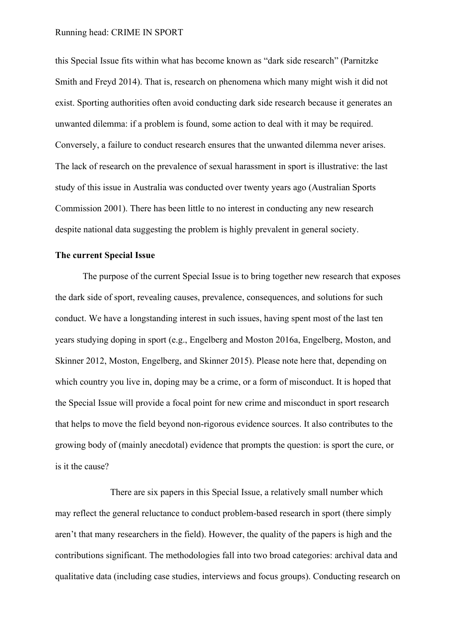this Special Issue fits within what has become known as "dark side research" (Parnitzke Smith and Freyd 2014). That is, research on phenomena which many might wish it did not exist. Sporting authorities often avoid conducting dark side research because it generates an unwanted dilemma: if a problem is found, some action to deal with it may be required. Conversely, a failure to conduct research ensures that the unwanted dilemma never arises. The lack of research on the prevalence of sexual harassment in sport is illustrative: the last study of this issue in Australia was conducted over twenty years ago (Australian Sports Commission 2001). There has been little to no interest in conducting any new research despite national data suggesting the problem is highly prevalent in general society.

# **The current Special Issue**

The purpose of the current Special Issue is to bring together new research that exposes the dark side of sport, revealing causes, prevalence, consequences, and solutions for such conduct. We have a longstanding interest in such issues, having spent most of the last ten years studying doping in sport (e.g., Engelberg and Moston 2016a, Engelberg, Moston, and Skinner 2012, Moston, Engelberg, and Skinner 2015). Please note here that, depending on which country you live in, doping may be a crime, or a form of misconduct. It is hoped that the Special Issue will provide a focal point for new crime and misconduct in sport research that helps to move the field beyond non-rigorous evidence sources. It also contributes to the growing body of (mainly anecdotal) evidence that prompts the question: is sport the cure, or is it the cause?

There are six papers in this Special Issue, a relatively small number which may reflect the general reluctance to conduct problem-based research in sport (there simply aren't that many researchers in the field). However, the quality of the papers is high and the contributions significant. The methodologies fall into two broad categories: archival data and qualitative data (including case studies, interviews and focus groups). Conducting research on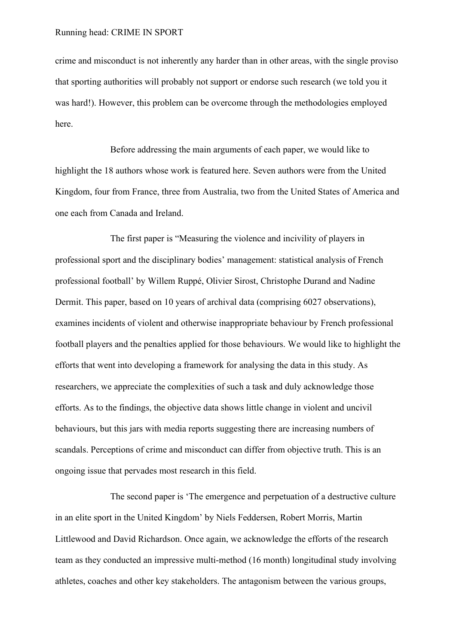crime and misconduct is not inherently any harder than in other areas, with the single proviso that sporting authorities will probably not support or endorse such research (we told you it was hard!). However, this problem can be overcome through the methodologies employed here.

Before addressing the main arguments of each paper, we would like to highlight the 18 authors whose work is featured here. Seven authors were from the United Kingdom, four from France, three from Australia, two from the United States of America and one each from Canada and Ireland.

The first paper is "Measuring the violence and incivility of players in professional sport and the disciplinary bodies' management: statistical analysis of French professional football' by Willem Ruppé, Olivier Sirost, Christophe Durand and Nadine Dermit. This paper, based on 10 years of archival data (comprising 6027 observations), examines incidents of violent and otherwise inappropriate behaviour by French professional football players and the penalties applied for those behaviours. We would like to highlight the efforts that went into developing a framework for analysing the data in this study. As researchers, we appreciate the complexities of such a task and duly acknowledge those efforts. As to the findings, the objective data shows little change in violent and uncivil behaviours, but this jars with media reports suggesting there are increasing numbers of scandals. Perceptions of crime and misconduct can differ from objective truth. This is an ongoing issue that pervades most research in this field.

The second paper is 'The emergence and perpetuation of a destructive culture in an elite sport in the United Kingdom' by Niels Feddersen, Robert Morris, Martin Littlewood and David Richardson. Once again, we acknowledge the efforts of the research team as they conducted an impressive multi-method (16 month) longitudinal study involving athletes, coaches and other key stakeholders. The antagonism between the various groups,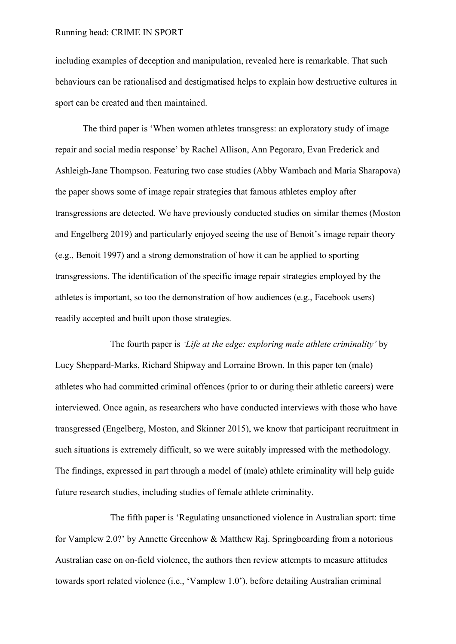including examples of deception and manipulation, revealed here is remarkable. That such behaviours can be rationalised and destigmatised helps to explain how destructive cultures in sport can be created and then maintained.

The third paper is 'When women athletes transgress: an exploratory study of image repair and social media response' by Rachel Allison, Ann Pegoraro, Evan Frederick and Ashleigh-Jane Thompson. Featuring two case studies (Abby Wambach and Maria Sharapova) the paper shows some of image repair strategies that famous athletes employ after transgressions are detected. We have previously conducted studies on similar themes (Moston and Engelberg 2019) and particularly enjoyed seeing the use of Benoit's image repair theory (e.g., Benoit 1997) and a strong demonstration of how it can be applied to sporting transgressions. The identification of the specific image repair strategies employed by the athletes is important, so too the demonstration of how audiences (e.g., Facebook users) readily accepted and built upon those strategies.

The fourth paper is *'Life at the edge: exploring male athlete criminality'* by Lucy Sheppard-Marks, Richard Shipway and Lorraine Brown. In this paper ten (male) athletes who had committed criminal offences (prior to or during their athletic careers) were interviewed. Once again, as researchers who have conducted interviews with those who have transgressed (Engelberg, Moston, and Skinner 2015), we know that participant recruitment in such situations is extremely difficult, so we were suitably impressed with the methodology. The findings, expressed in part through a model of (male) athlete criminality will help guide future research studies, including studies of female athlete criminality.

The fifth paper is 'Regulating unsanctioned violence in Australian sport: time for Vamplew 2.0?' by Annette Greenhow & Matthew Raj. Springboarding from a notorious Australian case on on-field violence, the authors then review attempts to measure attitudes towards sport related violence (i.e., 'Vamplew 1.0'), before detailing Australian criminal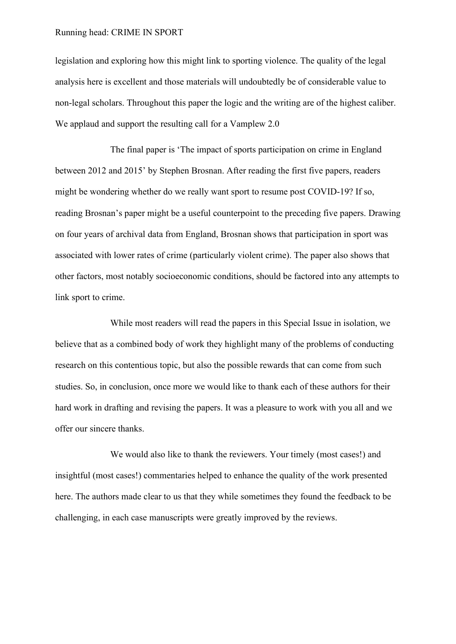legislation and exploring how this might link to sporting violence. The quality of the legal analysis here is excellent and those materials will undoubtedly be of considerable value to non-legal scholars. Throughout this paper the logic and the writing are of the highest caliber. We applaud and support the resulting call for a Vamplew 2.0

The final paper is 'The impact of sports participation on crime in England between 2012 and 2015' by Stephen Brosnan. After reading the first five papers, readers might be wondering whether do we really want sport to resume post COVID-19? If so, reading Brosnan's paper might be a useful counterpoint to the preceding five papers. Drawing on four years of archival data from England, Brosnan shows that participation in sport was associated with lower rates of crime (particularly violent crime). The paper also shows that other factors, most notably socioeconomic conditions, should be factored into any attempts to link sport to crime.

While most readers will read the papers in this Special Issue in isolation, we believe that as a combined body of work they highlight many of the problems of conducting research on this contentious topic, but also the possible rewards that can come from such studies. So, in conclusion, once more we would like to thank each of these authors for their hard work in drafting and revising the papers. It was a pleasure to work with you all and we offer our sincere thanks.

We would also like to thank the reviewers. Your timely (most cases!) and insightful (most cases!) commentaries helped to enhance the quality of the work presented here. The authors made clear to us that they while sometimes they found the feedback to be challenging, in each case manuscripts were greatly improved by the reviews.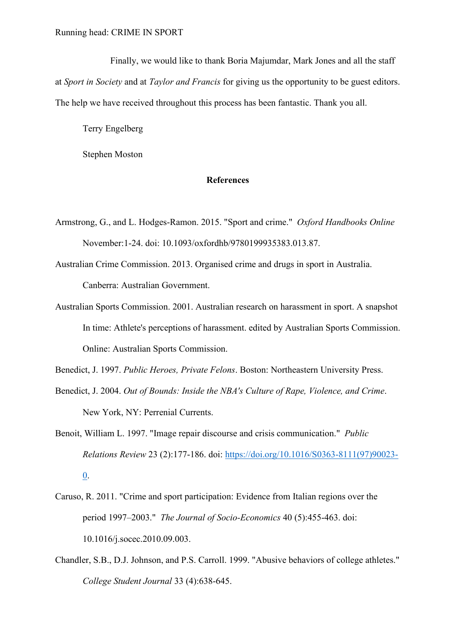Finally, we would like to thank Boria Majumdar, Mark Jones and all the staff at *Sport in Society* and at *Taylor and Francis* for giving us the opportunity to be guest editors. The help we have received throughout this process has been fantastic. Thank you all.

Terry Engelberg

Stephen Moston

### **References**

- Armstrong, G., and L. Hodges-Ramon. 2015. "Sport and crime." *Oxford Handbooks Online* November:1-24. doi: 10.1093/oxfordhb/9780199935383.013.87.
- Australian Crime Commission. 2013. Organised crime and drugs in sport in Australia. Canberra: Australian Government.
- Australian Sports Commission. 2001. Australian research on harassment in sport. A snapshot In time: Athlete's perceptions of harassment. edited by Australian Sports Commission. Online: Australian Sports Commission.
- Benedict, J. 1997. *Public Heroes, Private Felons*. Boston: Northeastern University Press.
- Benedict, J. 2004. *Out of Bounds: Inside the NBA's Culture of Rape, Violence, and Crime*. New York, NY: Perrenial Currents.
- Benoit, William L. 1997. "Image repair discourse and crisis communication." *Public Relations Review* 23 (2):177-186. doi: [https://doi.org/10.1016/S0363-8111\(97\)90023-](https://doi.org/10.1016/S0363-8111(97)90023-0) [0.](https://doi.org/10.1016/S0363-8111(97)90023-0)
- Caruso, R. 2011. "Crime and sport participation: Evidence from Italian regions over the period 1997–2003." *The Journal of Socio-Economics* 40 (5):455-463. doi: 10.1016/j.socec.2010.09.003.
- Chandler, S.B., D.J. Johnson, and P.S. Carroll. 1999. "Abusive behaviors of college athletes." *College Student Journal* 33 (4):638-645.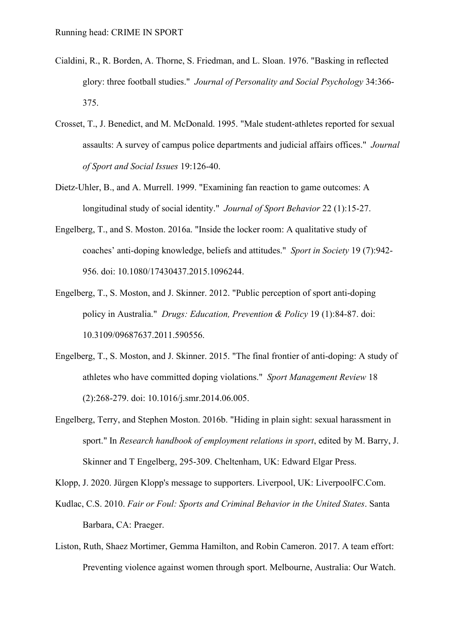- Cialdini, R., R. Borden, A. Thorne, S. Friedman, and L. Sloan. 1976. "Basking in reflected glory: three football studies." *Journal of Personality and Social Psychology* 34:366- 375.
- Crosset, T., J. Benedict, and M. McDonald. 1995. "Male student-athletes reported for sexual assaults: A survey of campus police departments and judicial affairs offices." *Journal of Sport and Social Issues* 19:126-40.
- Dietz-Uhler, B., and A. Murrell. 1999. "Examining fan reaction to game outcomes: A longitudinal study of social identity." *Journal of Sport Behavior* 22 (1):15-27.
- Engelberg, T., and S. Moston. 2016a. "Inside the locker room: A qualitative study of coaches' anti-doping knowledge, beliefs and attitudes." *Sport in Society* 19 (7):942- 956. doi: 10.1080/17430437.2015.1096244.
- Engelberg, T., S. Moston, and J. Skinner. 2012. "Public perception of sport anti-doping policy in Australia." *Drugs: Education, Prevention & Policy* 19 (1):84-87. doi: 10.3109/09687637.2011.590556.
- Engelberg, T., S. Moston, and J. Skinner. 2015. "The final frontier of anti-doping: A study of athletes who have committed doping violations." *Sport Management Review* 18 (2):268-279. doi: 10.1016/j.smr.2014.06.005.
- Engelberg, Terry, and Stephen Moston. 2016b. "Hiding in plain sight: sexual harassment in sport." In *Research handbook of employment relations in sport*, edited by M. Barry, J. Skinner and T Engelberg, 295-309. Cheltenham, UK: Edward Elgar Press.
- Klopp, J. 2020. Jürgen Klopp's message to supporters. Liverpool, UK: LiverpoolFC.Com.
- Kudlac, C.S. 2010. *Fair or Foul: Sports and Criminal Behavior in the United States*. Santa Barbara, CA: Praeger.
- Liston, Ruth, Shaez Mortimer, Gemma Hamilton, and Robin Cameron. 2017. A team effort: Preventing violence against women through sport. Melbourne, Australia: Our Watch.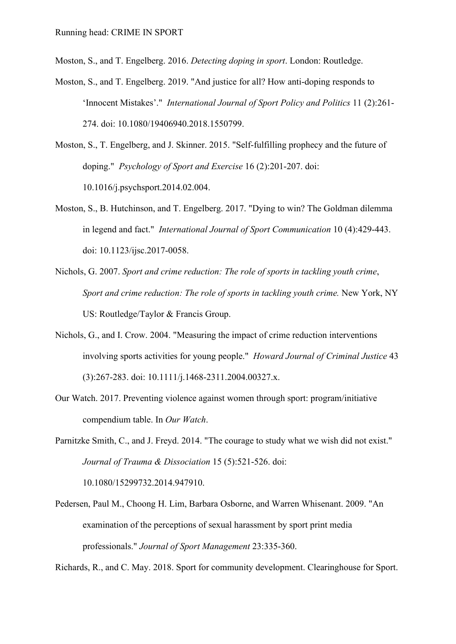Moston, S., and T. Engelberg. 2016. *Detecting doping in sport*. London: Routledge.

- Moston, S., and T. Engelberg. 2019. "And justice for all? How anti-doping responds to 'Innocent Mistakes'." *International Journal of Sport Policy and Politics* 11 (2):261- 274. doi: 10.1080/19406940.2018.1550799.
- Moston, S., T. Engelberg, and J. Skinner. 2015. "Self-fulfilling prophecy and the future of doping." *Psychology of Sport and Exercise* 16 (2):201-207. doi: 10.1016/j.psychsport.2014.02.004.
- Moston, S., B. Hutchinson, and T. Engelberg. 2017. "Dying to win? The Goldman dilemma in legend and fact." *International Journal of Sport Communication* 10 (4):429-443. doi: 10.1123/ijsc.2017-0058.
- Nichols, G. 2007. *Sport and crime reduction: The role of sports in tackling youth crime*, *Sport and crime reduction: The role of sports in tackling youth crime.* New York, NY US: Routledge/Taylor & Francis Group.
- Nichols, G., and I. Crow. 2004. "Measuring the impact of crime reduction interventions involving sports activities for young people." *Howard Journal of Criminal Justice* 43 (3):267-283. doi: 10.1111/j.1468-2311.2004.00327.x.
- Our Watch. 2017. Preventing violence against women through sport: program/initiative compendium table. In *Our Watch*.

Parnitzke Smith, C., and J. Freyd. 2014. "The courage to study what we wish did not exist." *Journal of Trauma & Dissociation* 15 (5):521-526. doi: 10.1080/15299732.2014.947910.

Pedersen, Paul M., Choong H. Lim, Barbara Osborne, and Warren Whisenant. 2009. "An examination of the perceptions of sexual harassment by sport print media professionals." *Journal of Sport Management* 23:335-360.

Richards, R., and C. May. 2018. Sport for community development. Clearinghouse for Sport.